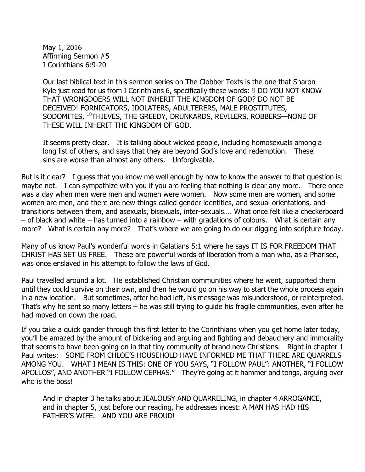May 1, 2016 Affirming Sermon #5 I Corinthians 6:9-20

Our last biblical text in this sermon series on The Clobber Texts is the one that Sharon Kyle just read for us from I Corinthians 6, specifically these words: 9 DO YOU NOT KNOW THAT WRONGDOERS WILL NOT INHERIT THE KINGDOM OF GOD? DO NOT BE DECEIVED! FORNICATORS, IDOLATERS, ADULTERERS, MALE PROSTITUTES, SODOMITES, 10THIEVES, THE GREEDY, DRUNKARDS, REVILERS, ROBBERS—NONE OF THESE WILL INHERIT THE KINGDOM OF GOD.

It seems pretty clear. It is talking about wicked people, including homosexuals among a long list of others, and says that they are beyond God's love and redemption. Thesel sins are worse than almost any others. Unforgivable.

But is it clear? I guess that you know me well enough by now to know the answer to that question is: maybe not. I can sympathize with you if you are feeling that nothing is clear any more. There once was a day when men were men and women were women. Now some men are women, and some women are men, and there are new things called gender identities, and sexual orientations, and transitions between them, and asexuals, bisexuals, inter-sexuals…. What once felt like a checkerboard – of black and white – has turned into a rainbow – with gradations of colours. What is certain any more? What is certain any more? That's where we are going to do our digging into scripture today.

Many of us know Paul's wonderful words in Galatians 5:1 where he says IT IS FOR FREEDOM THAT CHRIST HAS SET US FREE. These are powerful words of liberation from a man who, as a Pharisee, was once enslaved in his attempt to follow the laws of God.

Paul travelled around a lot. He established Christian communities where he went, supported them until they could survive on their own, and then he would go on his way to start the whole process again in a new location. But sometimes, after he had left, his message was misunderstood, or reinterpreted. That's why he sent so many letters – he was still trying to guide his fragile communities, even after he had moved on down the road.

If you take a quick gander through this first letter to the Corinthians when you get home later today, you'll be amazed by the amount of bickering and arguing and fighting and debauchery and immorality that seems to have been going on in that tiny community of brand new Christians. Right in chapter 1 Paul writes: SOME FROM CHLOE'S HOUSEHOLD HAVE INFORMED ME THAT THERE ARE QUARRELS AMONG YOU. WHAT I MEAN IS THIS: ONE OF YOU SAYS, "I FOLLOW PAUL": ANOTHER, "I FOLLOW APOLLOS", AND ANOTHER "I FOLLOW CEPHAS." They're going at it hammer and tongs, arguing over who is the boss!

And in chapter 3 he talks about JEALOUSY AND QUARRELING, in chapter 4 ARROGANCE, and in chapter 5, just before our reading, he addresses incest: A MAN HAS HAD HIS FATHER'S WIFE. AND YOU ARE PROUD!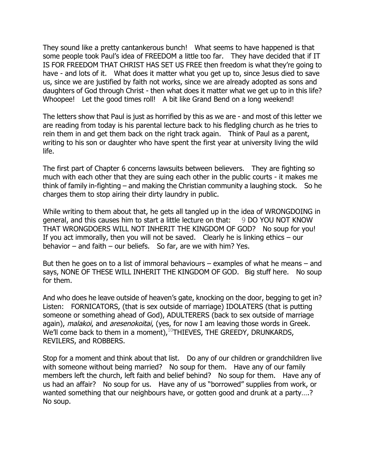They sound like a pretty cantankerous bunch! What seems to have happened is that some people took Paul's idea of FREEDOM a little too far. They have decided that if IT IS FOR FREEDOM THAT CHRIST HAS SET US FREE then freedom is what they're going to have - and lots of it. What does it matter what you get up to, since Jesus died to save us, since we are justified by faith not works, since we are already adopted as sons and daughters of God through Christ - then what does it matter what we get up to in this life? Whoopee! Let the good times roll! A bit like Grand Bend on a long weekend!

The letters show that Paul is just as horrified by this as we are - and most of this letter we are reading from today is his parental lecture back to his fledgling church as he tries to rein them in and get them back on the right track again. Think of Paul as a parent, writing to his son or daughter who have spent the first year at university living the wild life.

The first part of Chapter 6 concerns lawsuits between believers. They are fighting so much with each other that they are suing each other in the public courts - it makes me think of family in-fighting – and making the Christian community a laughing stock. So he charges them to stop airing their dirty laundry in public.

While writing to them about that, he gets all tangled up in the idea of WRONGDOING in general, and this causes him to start a little lecture on that: 9 DO YOU NOT KNOW THAT WRONGDOERS WILL NOT INHERIT THE KINGDOM OF GOD? No soup for you! If you act immorally, then you will not be saved. Clearly he is linking ethics  $-$  our behavior – and faith – our beliefs. So far, are we with him? Yes.

But then he goes on to a list of immoral behaviours – examples of what he means – and says, NONE OF THESE WILL INHERIT THE KINGDOM OF GOD. Big stuff here. No soup for them.

And who does he leave outside of heaven's gate, knocking on the door, begging to get in? Listen: FORNICATORS, (that is sex outside of marriage) IDOLATERS (that is putting someone or something ahead of God), ADULTERERS (back to sex outside of marriage again), malakoi, and aresenokoitai, (yes, for now I am leaving those words in Greek. We'll come back to them in a moment),<sup>10</sup>THIEVES, THE GREEDY, DRUNKARDS, REVILERS, and ROBBERS.

Stop for a moment and think about that list. Do any of our children or grandchildren live with someone without being married? No soup for them. Have any of our family members left the church, left faith and belief behind? No soup for them. Have any of us had an affair? No soup for us. Have any of us "borrowed" supplies from work, or wanted something that our neighbours have, or gotten good and drunk at a party….? No soup.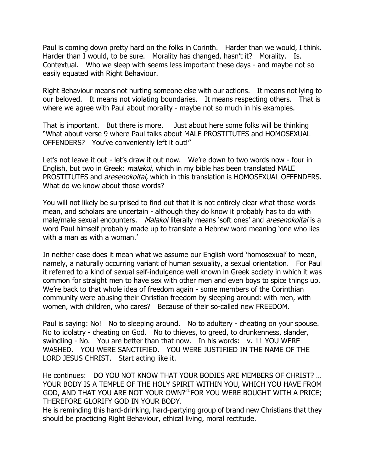Paul is coming down pretty hard on the folks in Corinth. Harder than we would, I think. Harder than I would, to be sure. Morality has changed, hasn't it? Morality. Is. Contextual. Who we sleep with seems less important these days - and maybe not so easily equated with Right Behaviour.

Right Behaviour means not hurting someone else with our actions. It means not lying to our beloved. It means not violating boundaries. It means respecting others. That is where we agree with Paul about morality - maybe not so much in his examples.

That is important. But there is more. Just about here some folks will be thinking "What about verse 9 where Paul talks about MALE PROSTITUTES and HOMOSEXUAL OFFENDERS? You've conveniently left it out!"

Let's not leave it out - let's draw it out now. We're down to two words now - four in English, but two in Greek: *malakoi*, which in my bible has been translated MALE PROSTITUTES and *aresenokoitai*, which in this translation is HOMOSEXUAL OFFENDERS. What do we know about those words?

You will not likely be surprised to find out that it is not entirely clear what those words mean, and scholars are uncertain - although they do know it probably has to do with male/male sexual encounters. Malakoi literally means 'soft ones' and aresenokoitai is a word Paul himself probably made up to translate a Hebrew word meaning 'one who lies with a man as with a woman.'

In neither case does it mean what we assume our English word 'homosexual' to mean, namely, a naturally occurring variant of human sexuality, a sexual orientation. For Paul it referred to a kind of sexual self-indulgence well known in Greek society in which it was common for straight men to have sex with other men and even boys to spice things up. We're back to that whole idea of freedom again - some members of the Corinthian community were abusing their Christian freedom by sleeping around: with men, with women, with children, who cares? Because of their so-called new FREEDOM.

Paul is saying: No! No to sleeping around. No to adultery - cheating on your spouse. No to idolatry - cheating on God. No to thieves, to greed, to drunkenness, slander, swindling - No. You are better than that now. In his words: v. 11 YOU WERE WASHED. YOU WERE SANCTIFIED. YOU WERE JUSTIFIED IN THE NAME OF THE LORD JESUS CHRIST. Start acting like it.

He continues: DO YOU NOT KNOW THAT YOUR BODIES ARE MEMBERS OF CHRIST? … YOUR BODY IS A TEMPLE OF THE HOLY SPIRIT WITHIN YOU, WHICH YOU HAVE FROM GOD, AND THAT YOU ARE NOT YOUR OWN?<sup>20</sup>FOR YOU WERE BOUGHT WITH A PRICE; THEREFORE GLORIFY GOD IN YOUR BODY.

He is reminding this hard-drinking, hard-partying group of brand new Christians that they should be practicing Right Behaviour, ethical living, moral rectitude.